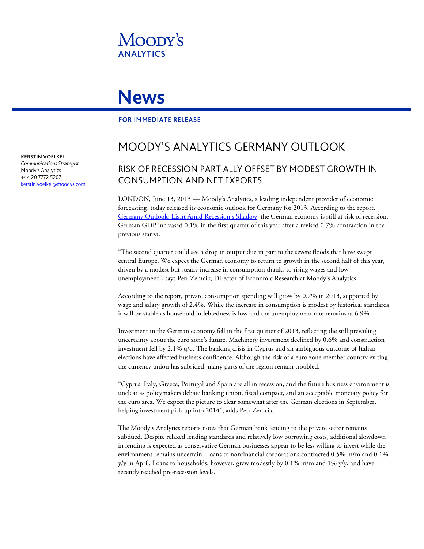

# **News**

### **FOR IMMEDIATE RELEASE**

## MOODY'S ANALYTICS GERMANY OUTLOOK

### RISK OF RECESSION PARTIALLY OFFSET BY MODEST GROWTH IN CONSUMPTION AND NET EXPORTS

LONDON, June 13, 2013 — Moody's Analytics, a leading independent provider of economic forecasting, today released its economic outlook for Germany for 2013. According to the report, [Germany Outlook: Light Amid Recession's Shadow,](http://www.economy.com/dismal/pro/article.asp?cid=240493) the German economy is still at risk of recession. German GDP increased 0.1% in the first quarter of this year after a revised 0.7% contraction in the previous stanza.

"The second quarter could see a drop in output due in part to the severe floods that have swept central Europe. We expect the German economy to return to growth in the second half of this year, driven by a modest but steady increase in consumption thanks to rising wages and low unemployment", says Petr Zemcik, Director of Economic Research at Moody's Analytics.

According to the report, private consumption spending will grow by 0.7% in 2013, supported by wage and salary growth of 2.4%. While the increase in consumption is modest by historical standards, it will be stable as household indebtedness is low and the unemployment rate remains at 6.9%.

Investment in the German economy fell in the first quarter of 2013, reflecting the still prevailing uncertainty about the euro zone's future. Machinery investment declined by 0.6% and construction investment fell by 2.1% q/q. The banking crisis in Cyprus and an ambiguous outcome of Italian elections have affected business confidence. Although the risk of a euro zone member country exiting the currency union has subsided, many parts of the region remain troubled.

"Cyprus, Italy, Greece, Portugal and Spain are all in recession, and the future business environment is unclear as policymakers debate [banking union,](http://www.economy.com/dismal/pro/article.asp?cid=239847&src=thisweek_asp) fiscal compact, and an acceptable [monetary policy](http://www.economy.com/dismal/pro/article.asp?cid=240409) for the euro area. We expect the picture to clear somewhat after the German elections in September, helping investment pick up into 2014", adds Petr Zemcik.

The Moody's Analytics reports notes that German bank lending to the private sector remains subdued. Despite relaxed lending standards and relatively low borrowing costs, additional slowdown in lending is expected as conservative German businesses appear to be less willing to invest while the environment remains uncertain. Loans to nonfinancial corporations contracted 0.5% m/m and 0.1% y/y in April. Loans to households, however, grew modestly by  $0.1\%$  m/m and  $1\%$  y/y, and have recently reached pre-recession levels.

**KERSTIN VOELKEL**

*Communications Strategist* Moody's Analytics +44 20 7772 5207 [kerstin.voelkel@moodys.com](mailto:kerstin.voelkel@moodys.com)